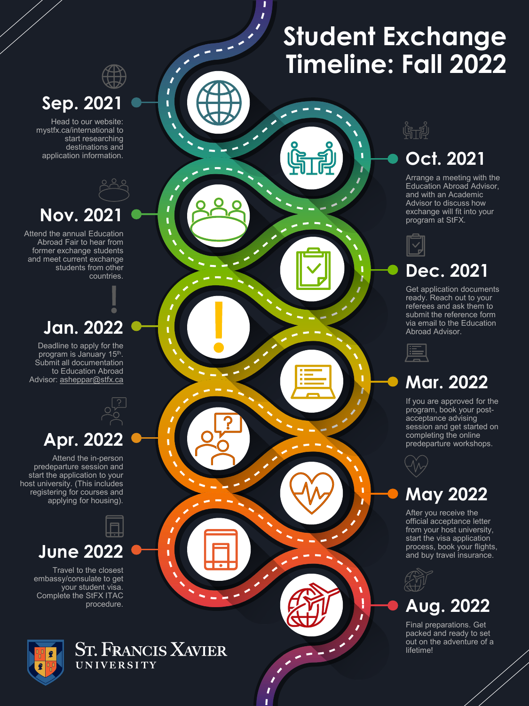# **Student Exchange Timeline: Fall 2022**



 $\mathbf{r}$  $\mathbf{I}$ I

I

Head to our website: mystfx.ca/international to start researching destinations and<br>.application information



Attend the annual Education Abroad Fair to hear from former exchange students and meet current exchange students from other<br>countries

# **Jan. 2022 Abroad Advisor.**

Deadline to apply for the program is January 15<sup>th</sup>. Submit all documentation to Education Abroad<br>Advisor: asheppar@stfx.ca



Attend the in -person predeparture session and start the application to your host university. (This includes registering for courses and<br>applying for housing).



Travel to the closest embassy/consulate to get your student visa. Complete the StFX ITAC<br>.procedure

# Ğ.

# application information. **Oct. 2021**

Arrange a meeting with the Education Abroad Advisor, and with an Academic Advisor to discuss how<br>exchange will fit into your **Nov. 2021 and intervention of the State of the State of the State of the State of the State of the State of the State of the State of the State of the State of the State of the State of the State of the State of the Sta** 



## countries. **Dec. 2021**

Get application documents ready. Reach out to your referees and ask them to submit the reference form<br>via email to the Education



#### **Mar. 2022**

If you are approved for the progra m, book your post acceptance advising session and get started on<br>completing the online



# applying for housing). **May 2022**

After you receive the official acceptance letter from your host university, start the visa application<br>process, book your flights, **June 2022 and Buy travel insurance.** 



## procedure. **Aug. 2022**

Final preparations. Get packed and ready to set out on the adventure of a **lifetime!** 



**ST. FRANCIS XAVIER** UNIVERSITY

 $\overline{\phantom{a}}$ 

 $\mathcal{L}$  $\mathbf{r}$  $\mathbf{I}$